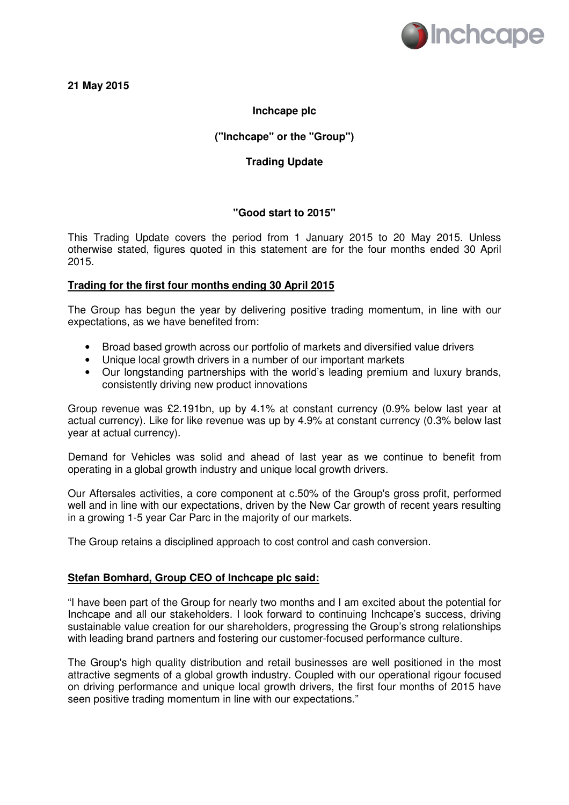

## **21 May 2015**

# **Inchcape plc**

## **("Inchcape" or the "Group")**

## **Trading Update**

## **"Good start to 2015"**

This Trading Update covers the period from 1 January 2015 to 20 May 2015. Unless otherwise stated, figures quoted in this statement are for the four months ended 30 April 2015.

### **Trading for the first four months ending 30 April 2015**

The Group has begun the year by delivering positive trading momentum, in line with our expectations, as we have benefited from:

- Broad based growth across our portfolio of markets and diversified value drivers
- Unique local growth drivers in a number of our important markets
- Our longstanding partnerships with the world's leading premium and luxury brands, consistently driving new product innovations

Group revenue was £2.191bn, up by 4.1% at constant currency (0.9% below last year at actual currency). Like for like revenue was up by 4.9% at constant currency (0.3% below last year at actual currency).

Demand for Vehicles was solid and ahead of last year as we continue to benefit from operating in a global growth industry and unique local growth drivers.

Our Aftersales activities, a core component at c.50% of the Group's gross profit, performed well and in line with our expectations, driven by the New Car growth of recent years resulting in a growing 1-5 year Car Parc in the majority of our markets.

The Group retains a disciplined approach to cost control and cash conversion.

## **Stefan Bomhard, Group CEO of Inchcape plc said:**

"I have been part of the Group for nearly two months and I am excited about the potential for Inchcape and all our stakeholders. I look forward to continuing Inchcape's success, driving sustainable value creation for our shareholders, progressing the Group's strong relationships with leading brand partners and fostering our customer-focused performance culture.

The Group's high quality distribution and retail businesses are well positioned in the most attractive segments of a global growth industry. Coupled with our operational rigour focused on driving performance and unique local growth drivers, the first four months of 2015 have seen positive trading momentum in line with our expectations."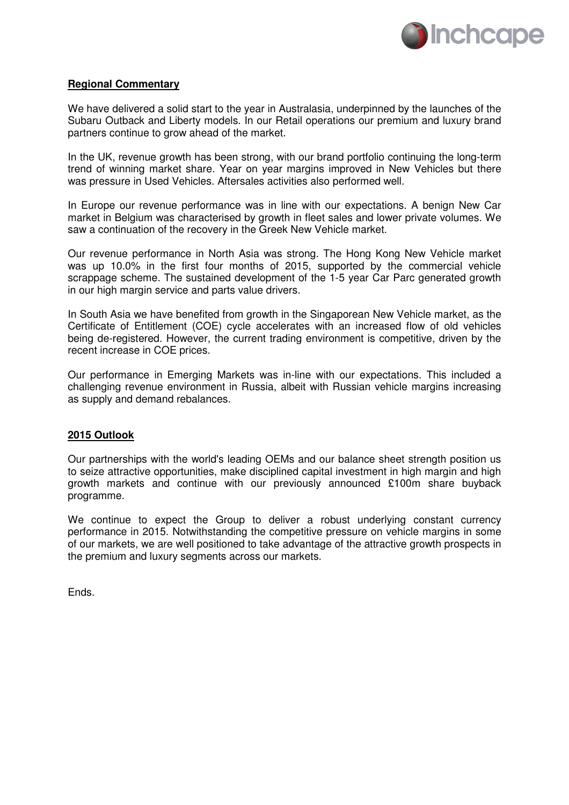

#### **Regional Commentary**

We have delivered a solid start to the year in Australasia, underpinned by the launches of the Subaru Outback and Liberty models. In our Retail operations our premium and luxury brand partners continue to grow ahead of the market.

In the UK, revenue growth has been strong, with our brand portfolio continuing the long-term trend of winning market share. Year on year margins improved in New Vehicles but there was pressure in Used Vehicles. Aftersales activities also performed well.

In Europe our revenue performance was in line with our expectations. A benign New Car market in Belgium was characterised by growth in fleet sales and lower private volumes. We saw a continuation of the recovery in the Greek New Vehicle market.

Our revenue performance in North Asia was strong. The Hong Kong New Vehicle market was up 10.0% in the first four months of 2015, supported by the commercial vehicle scrappage scheme. The sustained development of the 1-5 year Car Parc generated growth in our high margin service and parts value drivers.

In South Asia we have benefited from growth in the Singaporean New Vehicle market, as the Certificate of Entitlement (COE) cycle accelerates with an increased flow of old vehicles being de-registered. However, the current trading environment is competitive, driven by the recent increase in COE prices.

Our performance in Emerging Markets was in-line with our expectations. This included a challenging revenue environment in Russia, albeit with Russian vehicle margins increasing as supply and demand rebalances.

#### **2015 Outlook**

Our partnerships with the world's leading OEMs and our balance sheet strength position us to seize attractive opportunities, make disciplined capital investment in high margin and high growth markets and continue with our previously announced £100m share buyback programme.

We continue to expect the Group to deliver a robust underlying constant currency performance in 2015. Notwithstanding the competitive pressure on vehicle margins in some of our markets, we are well positioned to take advantage of the attractive growth prospects in the premium and luxury segments across our markets.

Ends.